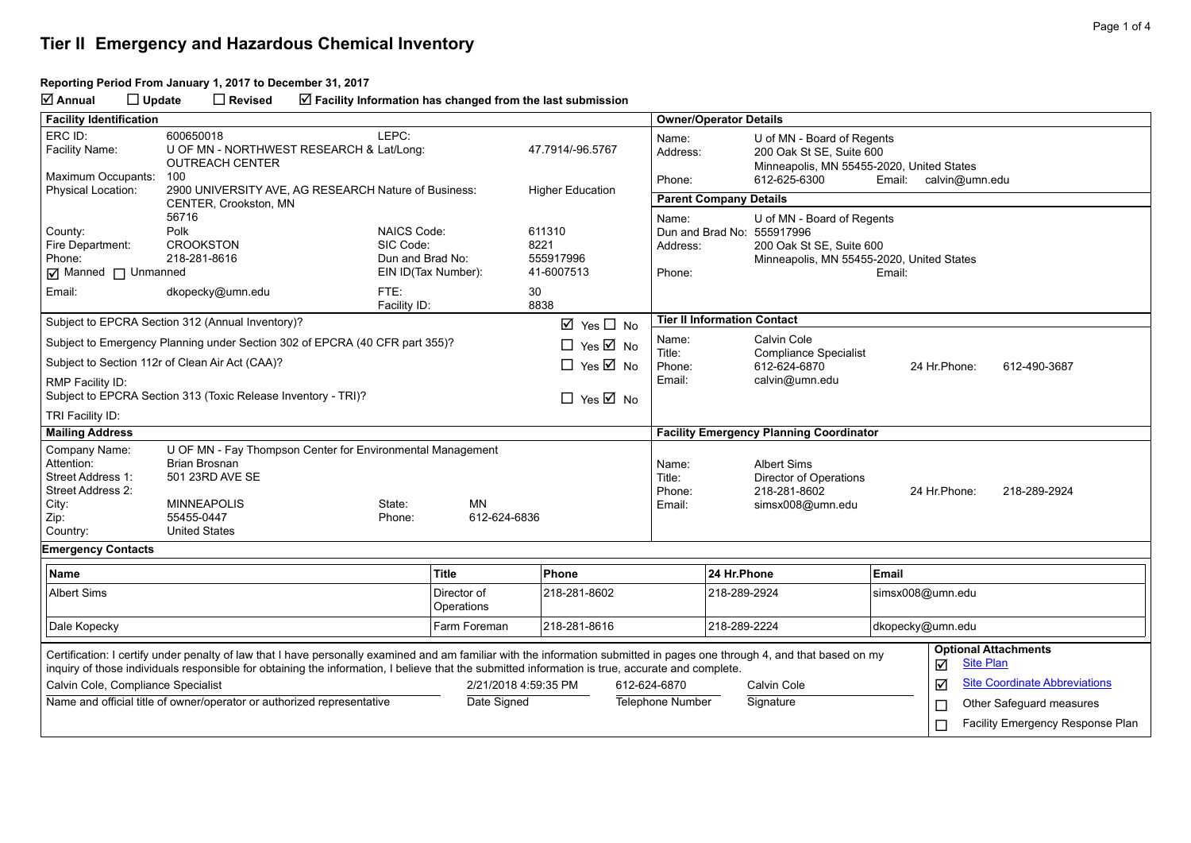#### **Reporting Period From January 1, 2017 to December 31, 2017**

**Annual Update Revised Facility Information has changed from the last submission**

| <b>Facility Identification</b>         |                                                                                                                                                                           |                                          |                         |                                      |                  | <b>Owner/Operator Details</b>       |                                           |                                                           |                  |               |                                      |  |
|----------------------------------------|---------------------------------------------------------------------------------------------------------------------------------------------------------------------------|------------------------------------------|-------------------------|--------------------------------------|------------------|-------------------------------------|-------------------------------------------|-----------------------------------------------------------|------------------|---------------|--------------------------------------|--|
| ERC ID:                                | LEPC:<br>600650018                                                                                                                                                        |                                          |                         |                                      |                  | Name:<br>U of MN - Board of Regents |                                           |                                                           |                  |               |                                      |  |
| Facility Name:                         | <b>OUTREACH CENTER</b>                                                                                                                                                    | U OF MN - NORTHWEST RESEARCH & Lat/Long: |                         |                                      | 47.7914/-96.5767 | Address:                            |                                           | 200 Oak St SE, Suite 600                                  |                  |               |                                      |  |
| Maximum Occupants:                     | 100                                                                                                                                                                       |                                          |                         |                                      |                  | Phone:                              |                                           | Minneapolis, MN 55455-2020, United States<br>612-625-6300 |                  |               | calvin@umn.edu                       |  |
| <b>Physical Location:</b>              | 2900 UNIVERSITY AVE, AG RESEARCH Nature of Business:                                                                                                                      |                                          | <b>Higher Education</b> |                                      |                  | Email:                              |                                           |                                                           |                  |               |                                      |  |
|                                        | CENTER, Crookston, MN                                                                                                                                                     |                                          |                         |                                      |                  | <b>Parent Company Details</b>       |                                           |                                                           |                  |               |                                      |  |
| County:                                | 56716<br>Polk                                                                                                                                                             | NAICS Code:                              |                         | 611310                               |                  | Name:                               |                                           | U of MN - Board of Regents<br>Dun and Brad No: 555917996  |                  |               |                                      |  |
| Fire Department:                       | <b>CROOKSTON</b>                                                                                                                                                          | SIC Code:                                |                         | 8221                                 |                  | Address:                            |                                           | 200 Oak St SE, Suite 600                                  |                  |               |                                      |  |
| Phone:                                 | 218-281-8616                                                                                                                                                              | Dun and Brad No:                         |                         | 555917996                            |                  |                                     | Minneapolis, MN 55455-2020, United States |                                                           |                  |               |                                      |  |
| <b>Ø</b> Manned □ Unmanned             |                                                                                                                                                                           | EIN ID(Tax Number):                      |                         | 41-6007513                           |                  | Phone:<br>Email:                    |                                           |                                                           |                  |               |                                      |  |
| Email:                                 | dkopecky@umn.edu                                                                                                                                                          | FTE:                                     |                         | 30                                   |                  |                                     |                                           |                                                           |                  |               |                                      |  |
|                                        |                                                                                                                                                                           | Facility ID:                             |                         | 8838                                 |                  |                                     |                                           |                                                           |                  |               |                                      |  |
|                                        | Subject to EPCRA Section 312 (Annual Inventory)?                                                                                                                          |                                          |                         | $\boxtimes$ Yes $\Box$ No            |                  | <b>Tier II Information Contact</b>  |                                           |                                                           |                  |               |                                      |  |
|                                        | Subject to Emergency Planning under Section 302 of EPCRA (40 CFR part 355)?                                                                                               |                                          |                         | $\Box$ Yes $\boxtimes$ No            |                  | Name:<br>Title:                     |                                           | Calvin Cole                                               |                  |               |                                      |  |
|                                        | Subject to Section 112r of Clean Air Act (CAA)?                                                                                                                           |                                          |                         | $\Box$ Yes $\overline{\boxtimes}$ No |                  | Phone:                              |                                           | <b>Compliance Specialist</b><br>612-624-6870              |                  | 24 Hr.Phone:  | 612-490-3687                         |  |
| RMP Facility ID:                       |                                                                                                                                                                           |                                          |                         |                                      |                  | Email:                              |                                           | calvin@umn.edu                                            |                  |               |                                      |  |
|                                        | Subject to EPCRA Section 313 (Toxic Release Inventory - TRI)?                                                                                                             |                                          |                         | $\Box$ Yes $\overline{\boxtimes}$ No |                  |                                     |                                           |                                                           |                  |               |                                      |  |
| TRI Facility ID:                       |                                                                                                                                                                           |                                          |                         |                                      |                  |                                     |                                           |                                                           |                  |               |                                      |  |
| <b>Mailing Address</b>                 |                                                                                                                                                                           |                                          |                         |                                      |                  |                                     |                                           | <b>Facility Emergency Planning Coordinator</b>            |                  |               |                                      |  |
| Company Name:                          | U OF MN - Fay Thompson Center for Environmental Management                                                                                                                |                                          |                         |                                      |                  |                                     |                                           |                                                           |                  |               |                                      |  |
| Attention:                             | <b>Brian Brosnan</b>                                                                                                                                                      |                                          |                         |                                      |                  | Name:                               |                                           | <b>Albert Sims</b>                                        |                  |               |                                      |  |
| Street Address 1:<br>Street Address 2: | 501 23RD AVE SE                                                                                                                                                           |                                          |                         |                                      |                  | Title:                              |                                           | Director of Operations<br>218-281-8602                    |                  | 24 Hr. Phone: |                                      |  |
| City:                                  | <b>MINNEAPOLIS</b>                                                                                                                                                        | State:                                   | <b>MN</b>               |                                      |                  | Phone:<br>Email:                    |                                           | simsx008@umn.edu                                          |                  |               | 218-289-2924                         |  |
| Zip:                                   | 55455-0447                                                                                                                                                                | Phone:                                   | 612-624-6836            |                                      |                  |                                     |                                           |                                                           |                  |               |                                      |  |
| Country:                               | <b>United States</b>                                                                                                                                                      |                                          |                         |                                      |                  |                                     |                                           |                                                           |                  |               |                                      |  |
| <b>Emergency Contacts</b>              |                                                                                                                                                                           |                                          |                         |                                      |                  |                                     |                                           |                                                           |                  |               |                                      |  |
| <b>Name</b>                            |                                                                                                                                                                           |                                          | <b>Title</b>            | Phone                                |                  |                                     | 24 Hr.Phone                               |                                                           | Email            |               |                                      |  |
| <b>Albert Sims</b>                     |                                                                                                                                                                           |                                          | Director of             | 218-281-8602                         |                  |                                     | 218-289-2924                              |                                                           | simsx008@umn.edu |               |                                      |  |
|                                        |                                                                                                                                                                           |                                          | Operations              |                                      |                  |                                     |                                           |                                                           |                  |               |                                      |  |
| Dale Kopecky                           |                                                                                                                                                                           |                                          | Farm Foreman            | 218-281-8616                         |                  |                                     | 218-289-2224                              |                                                           | dkopecky@umn.edu |               |                                      |  |
|                                        | Certification: I certify under penalty of law that I have personally examined and am familiar with the information submitted in pages one through 4, and that based on my |                                          |                         |                                      |                  |                                     |                                           |                                                           |                  |               | <b>Optional Attachments</b>          |  |
|                                        | inquiry of those individuals responsible for obtaining the information, I believe that the submitted information is true, accurate and complete.                          |                                          |                         |                                      |                  |                                     |                                           |                                                           |                  | ☑             | <b>Site Plan</b>                     |  |
|                                        |                                                                                                                                                                           |                                          |                         |                                      |                  |                                     |                                           |                                                           |                  |               |                                      |  |
| Calvin Cole, Compliance Specialist     |                                                                                                                                                                           |                                          | 2/21/2018 4:59:35 PM    |                                      | 612-624-6870     |                                     |                                           | Calvin Cole                                               |                  | ☑             | <b>Site Coordinate Abbreviations</b> |  |
|                                        | Name and official title of owner/operator or authorized representative                                                                                                    |                                          | Date Signed             |                                      |                  | Telephone Number                    |                                           | Signature                                                 |                  | $\Box$        | Other Safeguard measures             |  |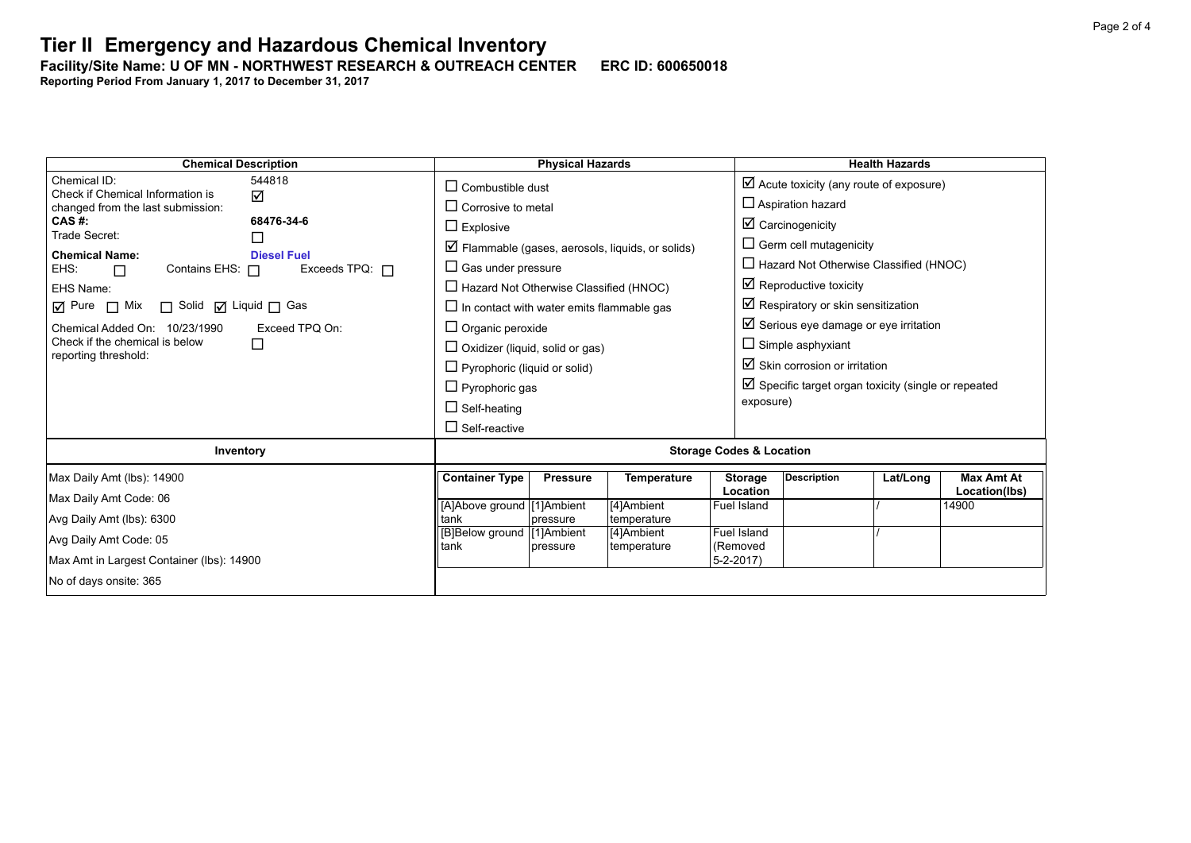**Facility/Site Name: U OF MN - NORTHWEST RESEARCH & OUTREACH CENTER-----ERC ID: 600650018**

**Reporting Period From January 1, 2017 to December 31, 2017**

| <b>Chemical Description</b>                                   | <b>Physical Hazards</b>                                                        | <b>Health Hazards</b>                                                                              |  |  |  |  |
|---------------------------------------------------------------|--------------------------------------------------------------------------------|----------------------------------------------------------------------------------------------------|--|--|--|--|
| Chemical ID:<br>544818<br>Check if Chemical Information is    | $\Box$ Combustible dust                                                        | $\boxtimes$ Acute toxicity (any route of exposure)                                                 |  |  |  |  |
| $\Delta$<br>changed from the last submission:                 | $\Box$ Corrosive to metal                                                      | $\Box$ Aspiration hazard                                                                           |  |  |  |  |
| 68476-34-6<br>CAS #:<br>Trade Secret:                         | $\Box$ Explosive                                                               | $\boxtimes$ Carcinogenicity                                                                        |  |  |  |  |
| $\Box$<br><b>Chemical Name:</b><br><b>Diesel Fuel</b>         | $\boxtimes$ Flammable (gases, aerosols, liquids, or solids)                    | $\Box$ Germ cell mutagenicity                                                                      |  |  |  |  |
| EHS:<br>Contains EHS: $\Box$<br>Exceeds TPQ: $\Box$<br>$\Box$ | $\Box$ Gas under pressure                                                      | $\Box$ Hazard Not Otherwise Classified (HNOC)                                                      |  |  |  |  |
| EHS Name:                                                     | $\Box$ Hazard Not Otherwise Classified (HNOC)                                  | $\boxtimes$ Reproductive toxicity                                                                  |  |  |  |  |
| $\Box$ Mix<br>□ Solid ☑ Liquid □ Gas<br>$\overline{M}$ Pure   | $\Box$ In contact with water emits flammable gas                               | $\boxtimes$ Respiratory or skin sensitization                                                      |  |  |  |  |
| Chemical Added On: 10/23/1990<br>Exceed TPQ On:               | $\Box$ Organic peroxide                                                        | $\boxtimes$ Serious eye damage or eye irritation                                                   |  |  |  |  |
| Check if the chemical is below<br>□<br>reporting threshold:   | $\Box$ Oxidizer (liquid, solid or gas)                                         | $\Box$ Simple asphyxiant                                                                           |  |  |  |  |
|                                                               | $\Box$ Pyrophoric (liquid or solid)                                            | $\boxtimes$ Skin corrosion or irritation                                                           |  |  |  |  |
|                                                               | $\Box$ Pyrophoric gas                                                          | $\boxtimes$ Specific target organ toxicity (single or repeated                                     |  |  |  |  |
|                                                               | $\Box$ Self-heating                                                            | exposure)                                                                                          |  |  |  |  |
|                                                               | $\Box$ Self-reactive                                                           |                                                                                                    |  |  |  |  |
| Inventory                                                     | <b>Storage Codes &amp; Location</b>                                            |                                                                                                    |  |  |  |  |
| Max Daily Amt (lbs): 14900                                    | <b>Container Type</b><br><b>Pressure</b><br><b>Temperature</b>                 | <b>Description</b><br><b>Max Amt At</b><br><b>Storage</b><br>Lat/Long<br>Location<br>Location(lbs) |  |  |  |  |
| Max Daily Amt Code: 06                                        | [A]Above ground [1]Ambient<br>[4]Ambient                                       | Fuel Island<br>14900                                                                               |  |  |  |  |
| Avg Daily Amt (lbs): 6300                                     | tank<br>temperature<br>pressure                                                |                                                                                                    |  |  |  |  |
| Avg Daily Amt Code: 05                                        | [B]Below ground   [1] Ambient<br>[4]Ambient<br>tank<br>temperature<br>pressure | Fuel Island<br>(Removed                                                                            |  |  |  |  |
| Max Amt in Largest Container (lbs): 14900                     |                                                                                | $5 - 2 - 2017$                                                                                     |  |  |  |  |
| No of days onsite: 365                                        |                                                                                |                                                                                                    |  |  |  |  |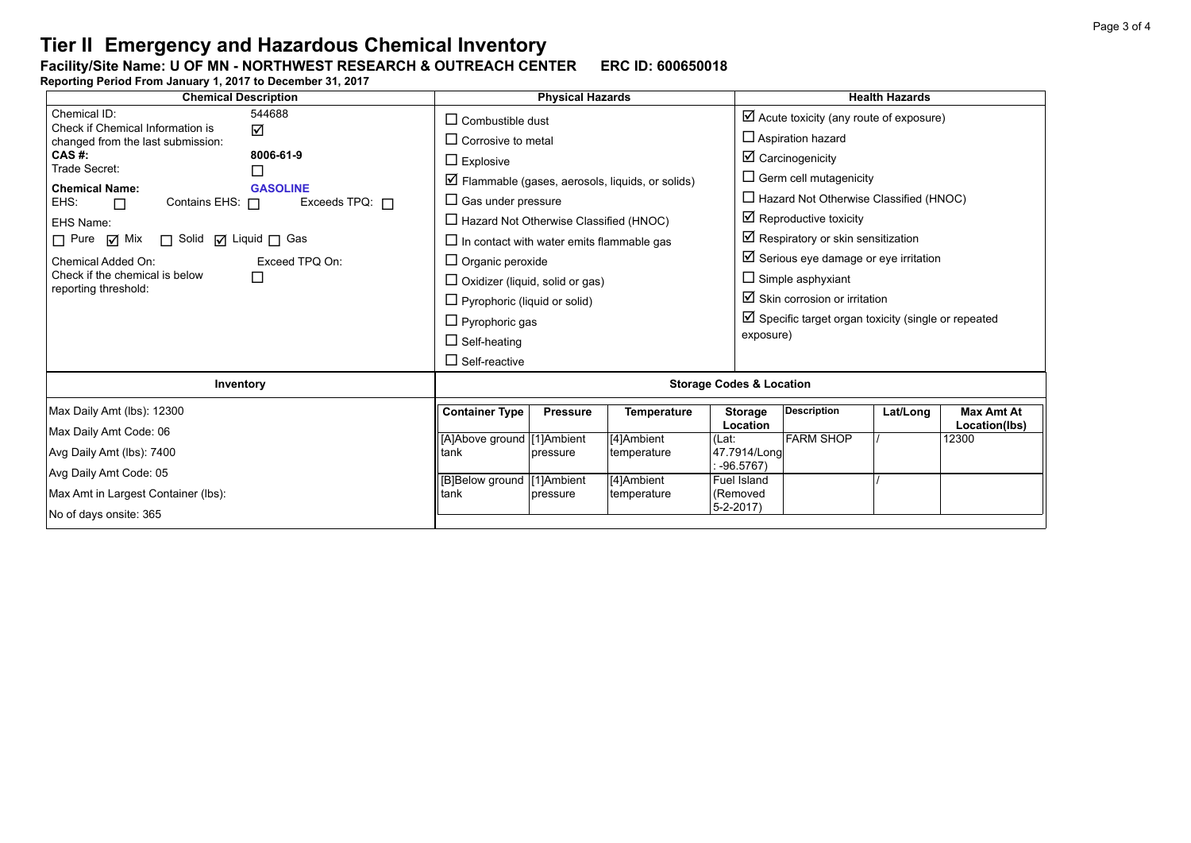## **Facility/Site Name: U OF MN - NORTHWEST RESEARCH & OUTREACH CENTER-----ERC ID: 600650018**

**Reporting Period From January 1, 2017 to December 31, 2017**

| <b>Chemical Description</b>                                     | <b>Physical Hazards</b>                                          |                 |                    |                                  | <b>Health Hazards</b>                                          |          |                                    |  |  |
|-----------------------------------------------------------------|------------------------------------------------------------------|-----------------|--------------------|----------------------------------|----------------------------------------------------------------|----------|------------------------------------|--|--|
| Chemical ID:<br>544688<br>Check if Chemical Information is<br>☑ | $\Box$ Combustible dust                                          |                 |                    |                                  | $\boxtimes$ Acute toxicity (any route of exposure)             |          |                                    |  |  |
| changed from the last submission:<br>CAS #:<br>8006-61-9        | $\Box$ Corrosive to metal                                        |                 |                    |                                  | $\Box$ Aspiration hazard                                       |          |                                    |  |  |
| Trade Secret:<br>$\Box$                                         | $\Box$ Explosive                                                 |                 |                    |                                  | $\boxtimes$ Carcinogenicity                                    |          |                                    |  |  |
| <b>Chemical Name:</b><br><b>GASOLINE</b>                        | $\triangleright$ Flammable (gases, aerosols, liquids, or solids) |                 |                    |                                  | $\Box$ Germ cell mutagenicity                                  |          |                                    |  |  |
| EHS:<br>Exceeds TPQ: $\Box$<br>Contains EHS: $\Box$<br>П        | $\Box$ Gas under pressure                                        |                 |                    |                                  | $\Box$ Hazard Not Otherwise Classified (HNOC)                  |          |                                    |  |  |
| EHS Name:                                                       | $\Box$ Hazard Not Otherwise Classified (HNOC)                    |                 |                    |                                  | $\boxtimes$ Reproductive toxicity                              |          |                                    |  |  |
| $\Box$ Pure $\Box$ Mix<br>$\Box$ Solid $\Box$ Liquid $\Box$ Gas | $\Box$ In contact with water emits flammable gas                 |                 |                    |                                  | $\boxtimes$ Respiratory or skin sensitization                  |          |                                    |  |  |
| Chemical Added On:<br>Exceed TPQ On:                            | $\Box$ Organic peroxide                                          |                 |                    |                                  | $\boxtimes$ Serious eye damage or eye irritation               |          |                                    |  |  |
| Check if the chemical is below<br>□<br>reporting threshold:     | $\Box$ Oxidizer (liquid, solid or gas)                           |                 |                    |                                  | $\Box$ Simple asphyxiant                                       |          |                                    |  |  |
|                                                                 | $\Box$ Pyrophoric (liquid or solid)                              |                 |                    |                                  | $\boxtimes$ Skin corrosion or irritation                       |          |                                    |  |  |
|                                                                 | $\Box$ Pyrophoric gas                                            |                 |                    |                                  | $\boxtimes$ Specific target organ toxicity (single or repeated |          |                                    |  |  |
|                                                                 | $\Box$ Self-heating                                              |                 |                    |                                  | exposure)                                                      |          |                                    |  |  |
|                                                                 | $\Box$ Self-reactive                                             |                 |                    |                                  |                                                                |          |                                    |  |  |
| Inventory                                                       | <b>Storage Codes &amp; Location</b>                              |                 |                    |                                  |                                                                |          |                                    |  |  |
| Max Daily Amt (lbs): 12300                                      | <b>Container Type</b>                                            | <b>Pressure</b> | <b>Temperature</b> | <b>Storage</b><br>Location       | <b>Description</b>                                             | Lat/Long | <b>Max Amt At</b><br>Location(lbs) |  |  |
| Max Daily Amt Code: 06                                          | [A]Above ground [1]Ambient                                       |                 | [4]Ambient         | (Lat:                            | <b>FARM SHOP</b>                                               |          | 12300                              |  |  |
| Avg Daily Amt (lbs): 7400                                       | tank                                                             | pressure        | temperature        | 47.7914/Long                     |                                                                |          |                                    |  |  |
| Avg Daily Amt Code: 05                                          | [B]Below ground [1]Ambient                                       |                 | [4]Ambient         | $-96.5767$<br><b>Fuel Island</b> |                                                                |          |                                    |  |  |
| Max Amt in Largest Container (lbs):                             | tank                                                             | pressure        | temperature        | (Removed                         |                                                                |          |                                    |  |  |
| No of days onsite: 365                                          |                                                                  |                 |                    | $5 - 2 - 2017$                   |                                                                |          |                                    |  |  |